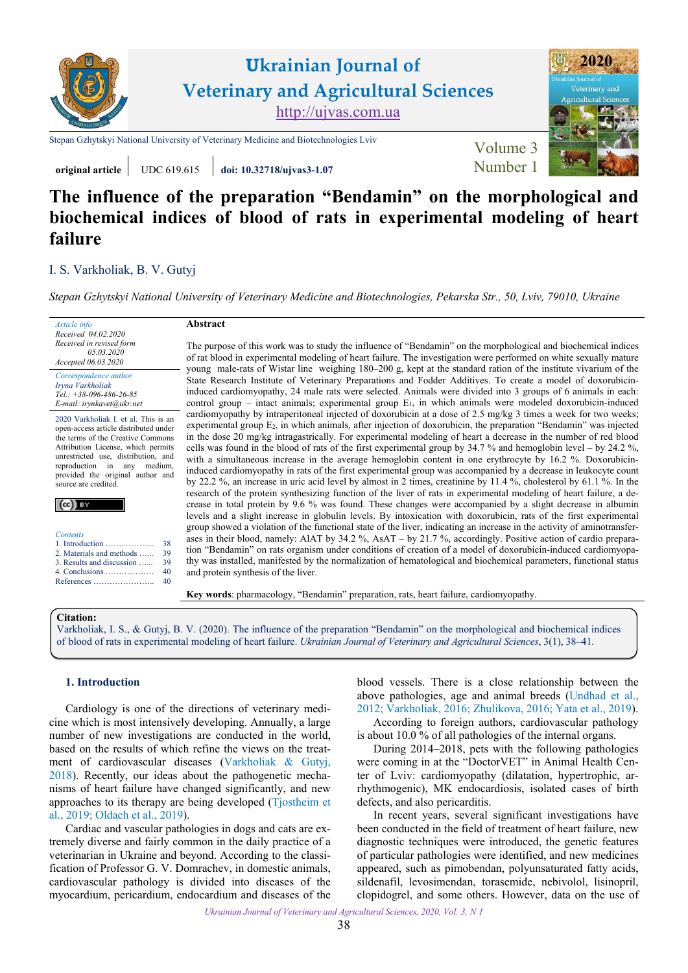

**original article** UDC 619.615 *doi:* **10.32718/ujvas3-1.07 Number 1** 

# **The influence of the preparation "Bendamin" on the morphological and biochemical indices of blood of rats in experimental modeling of heart failure**

# I. [S. Var](https://orcid.org/0000-0002-9985-6049)kholiak, [B. V. Gutyj](https://orcid.org/0000-0002-5971-8776)

*[Stepan Gzhytskyi National University of Veterinary Medicine and Biotechnologies, Pekarska Str., 50, Lviv, 79010, Ukraine](https://lvet.edu.ua)*

| Article info             |
|--------------------------|
| Received 04.02.2020      |
| Received in revised form |
| 05.03.2020               |
| Accepted 06.03.2020      |
| Correspondence author    |

*[Iryna Var](https://orcid.org/0000-0002-9985-6049)kholiak Tel.: +38-096-486-26-85 E-mail: irynkavet@ukr.net*

2020 Varkholiak I. et al. This is an open-access article distributed under the terms of the Creative Commons Attribution License, which permits unrestricted use, distribution, and reproduction in any medium, provided the original author and source are credited.

| <b>Contents</b>                           |
|-------------------------------------------|
| 1. Introduction $\dots \dots \dots \dots$ |
| 2. Materials and methods                  |
| 3. Results and discussion                 |
| 4. Conclusions                            |

[4. Conclusions ………………](#page-2-0) References . [40](#page-2-0) [40](#page-2-0)

38 [39](#page-1-0)   $\frac{5}{39}$ 

## **Abstract**

The purpose of this work was to study the influence of "Bendamin" on the morphological and biochemical indices of rat blood in experimental modeling of heart failure. The investigation were performed on white sexually mature young male-rats of Wistar line weighing 180–200 g, kept at the standard ration of the institute vivarium of the State Research Institute of Veterinary Preparations and Fodder Additives. To create a model of doxorubicininduced cardiomyopathy, 24 male rats were selected. Animals were divided into 3 groups of 6 animals in each: control group – intact animals; experimental group  $E_1$ , in which animals were modeled doxorubicin-induced cardiomyopathy by intraperitoneal injected of doxorubicin at a dose of 2.5 mg/kg 3 times a week for two weeks; experimental group E2, in which animals, after injection of doxorubicin, the preparation "Bendamin" was injected in the dose 20 mg/kg intragastrically. For experimental modeling of heart a decrease in the number of red blood cells was found in the blood of rats of the first experimental group by 34.7 % and hemoglobin level – by 24.2 %, with a simultaneous increase in the average hemoglobin content in one erythrocyte by 16.2 %. Doxorubicininduced cardiomyopathy in rats of the first experimental group was accompanied by a decrease in leukocyte count by 22.2 %, an increase in uric acid level by almost in 2 times, creatinine by 11.4 %, cholesterol by 61.1 %. In the research of the protein synthesizing function of the liver of rats in experimental modeling of heart failure, a decrease in total protein by 9.6 % was found. These changes were accompanied by a slight decrease in albumin levels and a slight increase in globulin levels. By intoxication with doxorubicin, rats of the first experimental group showed a violation of the functional state of the liver, indicating an increase in the activity of aminotransferases in their blood, namely: AlAT by 34.2 %, AsAT – by 21.7 %, accordingly. Positive action of cardio preparation "Bendamin" on rats organism under conditions of creation of a model of doxorubicin-induced cardiomyopathy was installed, manifested by the normalization of hematological and biochemical parameters, functional status and protein synthesis of the liver.

**Key words**: pharmacology, "Bendamin" preparation, rats, heart failure, cardiomyopathy.

## **Citation:**

Varkholiak, I. S., & Gutyj, B. V. [\(2020\). The influence of the preparation "Bendamin" on the morphological and biochemical indices](https://doi.org/10.32718/ujvas3-1.07) of blood of rats in experimental modeling of heart failure. *Ukrainian Journal of Veterinary and Agricultural Sciences*, 3(1), 38–41.

## **1. Introduction**

Cardiology is one of the directions of veterinary medicine which is most intensively developing. Annually, a large number of new investigations are conducted in the world, based on the results of which refine the views on the treatment of cardiovascular diseases ([Varkholiak & Gutyj,](#page-3-0) [2018\)](#page-3-0). Recently, our ideas about the pathogenetic mechanisms of heart failure have changed significantly, and new approaches to its therapy are being developed [\(Tjostheim et](#page-3-0) [al., 2019](#page-3-0); Oldach et [al., 2019](#page-3-0)).

Cardiac and vascular pathologies in dogs and cats are extremely diverse and fairly common in the daily practice of a veterinarian in Ukraine and beyond. According to the classification of Professor G. V. Domrachev, in domestic animals, cardiovascular pathology is divided into diseases of the myocardium, pericardium, endocardium and diseases of the blood vessels. There is a close relationship between the above pathologies, age and animal breeds ([Undhad et](#page-3-0) al., [2012; Varkholiak, 2016](#page-3-0); [Zhulikova, 2016;](#page-3-0) Yata et [al., 2019\)](#page-3-0).

According to foreign authors, cardiovascular pathology is about 10.0 % of all pathologies of the internal organs.

During 2014–2018, pets with the following pathologies were coming in at the "DoctorVET" in Animal Health Center of Lviv: cardiomyopathy (dilatation, hypertrophic, arrhythmogenic), MK endocardiosis, isolated cases of birth defects, and also pericarditis.

In recent years, several significant investigations have been conducted in the field of treatment of heart failure, new diagnostic techniques were introduced, the genetic features of particular pathologies were identified, and new medicines appeared, such as pimobendan, polyunsaturated fatty acids, sildenafil, levosimendan, torasemide, nebivolol, lisinopril, clopidogrel, and some others. However, data on the use of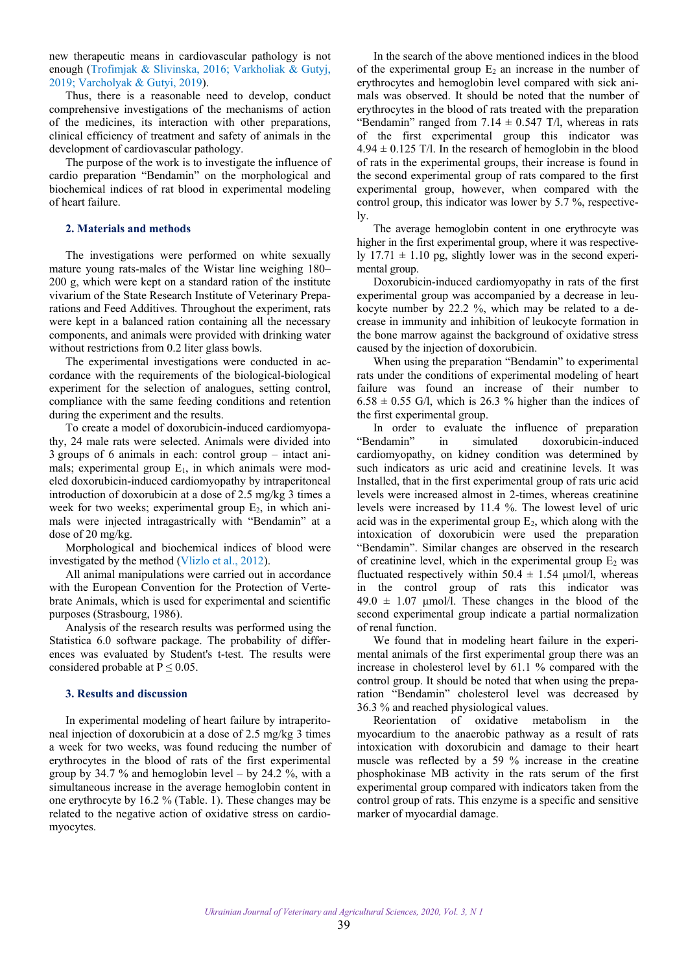<span id="page-1-0"></span>new therapeutic means in cardiovascular pathology is not enough ([Trofimjak & Slivinska, 2016;](#page-3-0) [Varkholiak & Gutyj,](#page-3-0) 2019; Varcholyak [& Gutyi, 2019](#page-3-0)).

Thus, there is a reasonable need to develop, conduct comprehensive investigations of the mechanisms of action of the medicines, its interaction with other preparations, clinical efficiency of treatment and safety of animals in the development of cardiovascular pathology.

The purpose of the work is to investigate the influence of cardio preparation "Bendamin" on the morphological and biochemical indices of rat blood in experimental modeling of heart failure.

#### **2. Materials and methods**

The investigations were performed on white sexually mature young rats-males of the Wistar line weighing 180– 200 g, which were kept on a standard ration of the institute vivarium of the State Research Institute of Veterinary Preparations and Feed Additives. Throughout the experiment, rats were kept in a balanced ration containing all the necessary components, and animals were provided with drinking water without restrictions from 0.2 liter glass bowls.

The experimental investigations were conducted in accordance with the requirements of the biological-biological experiment for the selection of analogues, setting control, compliance with the same feeding conditions and retention during the experiment and the results.

To create a model of doxorubicin-induced cardiomyopathy, 24 male rats were selected. Animals were divided into 3 groups of 6 animals in each: control group – intact animals; experimental group  $E_1$ , in which animals were modeled doxorubicin-induced cardiomyopathy by intraperitoneal introduction of doxorubicin at a dose of 2.5 mg/kg 3 times a week for two weeks; experimental group  $E_2$ , in which animals were injected intragastrically with "Bendamin" at a dose of 20 mg/kg.

Morphological and biochemical indices of blood were investigated by the method [\(Vlizlo et](#page-3-0) al., 2012).

All animal manipulations were carried out in accordance with the European Convention for the Protection of Vertebrate Animals, which is used for experimental and scientific purposes (Strasbourg, 1986).

Analysis of the research results was performed using the Statistica 6.0 software package. The probability of differences was evaluated by Student's t-test. The results were considered probable at  $P \le 0.05$ .

## **3. Results and discussion**

In experimental modeling of heart failure by intraperitoneal injection of doxorubicin at a dose of 2.5 mg/kg 3 times a week for two weeks, was found reducing the number of erythrocytes in the blood of rats of the first experimental group by 34.7 % and hemoglobin level – by 24.2 %, with a simultaneous increase in the average hemoglobin content in one erythrocyte by 16.2 % (Table. 1). These changes may be related to the negative action of oxidative stress on cardiomyocytes.

In the search of the above mentioned indices in the blood of the experimental group  $E_2$  an increase in the number of erythrocytes and hemoglobin level compared with sick animals was observed. It should be noted that the number of erythrocytes in the blood of rats treated with the preparation "Bendamin" ranged from  $7.14 \pm 0.547$  T/l, whereas in rats of the first experimental group this indicator was  $4.94 \pm 0.125$  T/l. In the research of hemoglobin in the blood of rats in the experimental groups, their increase is found in the second experimental group of rats compared to the first experimental group, however, when compared with the control group, this indicator was lower by 5.7 %, respectively.

The average hemoglobin content in one erythrocyte was higher in the first experimental group, where it was respectively  $17.71 \pm 1.10$  pg, slightly lower was in the second experimental group.

Doxorubicin-induced cardiomyopathy in rats of the first experimental group was accompanied by a decrease in leukocyte number by 22.2 %, which may be related to a decrease in immunity and inhibition of leukocyte formation in the bone marrow against the background of oxidative stress caused by the injection of doxorubicin.

When using the preparation "Bendamin" to experimental rats under the conditions of experimental modeling of heart failure was found an increase of their number to  $6.58 \pm 0.55$  G/l, which is 26.3 % higher than the indices of the first experimental group.

In order to evaluate the influence of preparation "Bendamin" in simulated doxorubicin-induced cardiomyopathy, on kidney condition was determined by such indicators as uric acid and creatinine levels. It was Installed, that in the first experimental group of rats uric acid levels were increased almost in 2-times, whereas creatinine levels were increased by 11.4 %. The lowest level of uric acid was in the experimental group  $E_2$ , which along with the intoxication of doxorubicin were used the preparation "Bendamin". Similar changes are observed in the research of creatinine level, which in the experimental group  $E_2$  was fluctuated respectively within  $50.4 \pm 1.54$  µmol/l, whereas in the control group of rats this indicator was  $49.0 \pm 1.07$  µmol/l. These changes in the blood of the second experimental group indicate a partial normalization of renal function.

We found that in modeling heart failure in the experimental animals of the first experimental group there was an increase in cholesterol level by 61.1 % compared with the control group. It should be noted that when using the preparation "Bendamin" cholesterol level was decreased by 36.3 % and reached physiological values.

Reorientation of oxidative metabolism in the myocardium to the anaerobic pathway as a result of rats intoxication with doxorubicin and damage to their heart muscle was reflected by a 59 % increase in the creatine phosphokinase MB activity in the rats serum of the first experimental group compared with indicators taken from the control group of rats. This enzyme is a specific and sensitive marker of myocardial damage.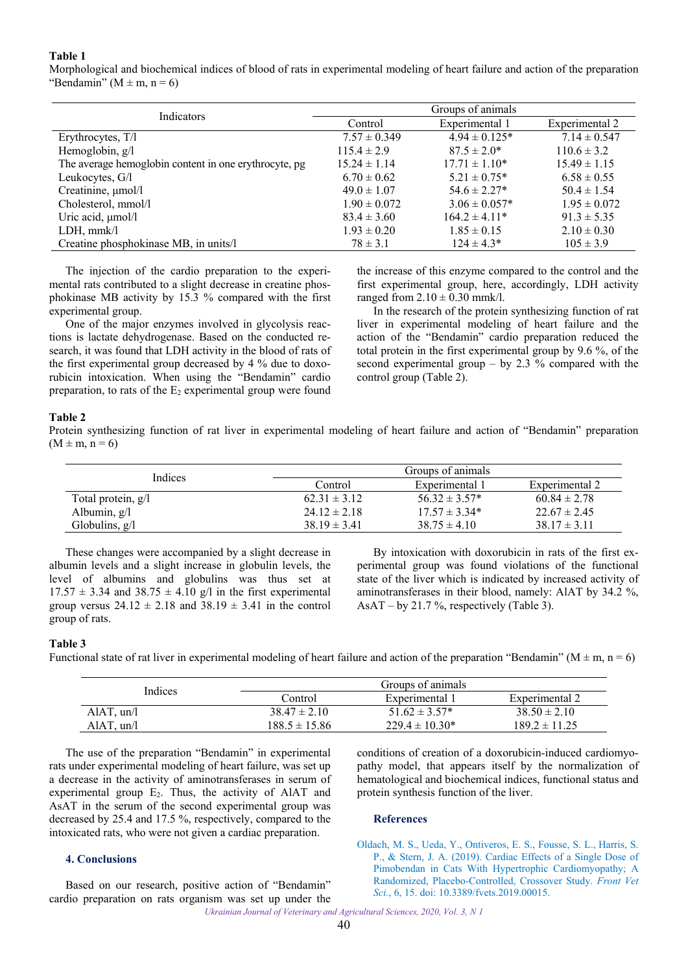## <span id="page-2-0"></span>**Table 1**

Morphological and biochemical indices of blood of rats in experimental modeling of heart failure and action of the preparation "Bendamin" ( $M \pm m$ , n = 6)

| Indicators                                            | Groups of animals |                    |                  |  |
|-------------------------------------------------------|-------------------|--------------------|------------------|--|
|                                                       | Control           | Experimental 1     | Experimental 2   |  |
| Erythrocytes, T/l                                     | $7.57 \pm 0.349$  | $4.94 \pm 0.125*$  | $7.14 \pm 0.547$ |  |
| Hemoglobin, g/l                                       | $115.4 \pm 2.9$   | $87.5 \pm 2.0^*$   | $110.6 \pm 3.2$  |  |
| The average hemoglobin content in one erythrocyte, pg | $15.24 \pm 1.14$  | $17.71 \pm 1.10^*$ | $15.49 \pm 1.15$ |  |
| Leukocytes, G/l                                       | $6.70 \pm 0.62$   | $5.21 \pm 0.75^*$  | $6.58 \pm 0.55$  |  |
| Creatinine, µmol/l                                    | $49.0 \pm 1.07$   | $54.6 \pm 2.27*$   | $50.4 \pm 1.54$  |  |
| Cholesterol, mmol/l                                   | $1.90 \pm 0.072$  | $3.06 \pm 0.057*$  | $1.95 \pm 0.072$ |  |
| Uric acid, µmol/l                                     | $83.4 \pm 3.60$   | $164.2 \pm 4.11*$  | $91.3 \pm 5.35$  |  |
| LDH, mmk/l                                            | $1.93 \pm 0.20$   | $1.85 \pm 0.15$    | $2.10 \pm 0.30$  |  |
| Creatine phosphokinase MB, in units/l                 | $78 \pm 3.1$      | $124 \pm 4.3*$     | $105 \pm 3.9$    |  |

The injection of the cardio preparation to the experimental rats contributed to a slight decrease in creatine phosphokinase MB activity by 15.3 % compared with the first experimental group.

One of the major enzymes involved in glycolysis reactions is lactate dehydrogenase. Based on the conducted research, it was found that LDH activity in the blood of rats of the first experimental group decreased by 4 % due to doxorubicin intoxication. When using the "Bendamin" cardio preparation, to rats of the  $E_2$  experimental group were found

the increase of this enzyme compared to the control and the first experimental group, here, accordingly, LDH activity ranged from  $2.10 \pm 0.30$  mmk/l.

In the research of the protein synthesizing function of rat liver in experimental modeling of heart failure and the action of the "Bendamin" cardio preparation reduced the total protein in the first experimental group by 9.6 %, of the second experimental group – by 2.3 % compared with the control group (Table 2).

## **Table 2**

Protein synthesizing function of rat liver in experimental modeling of heart failure and action of "Bendamin" preparation  $(M \pm m, n = 6)$ 

| Indices              |                  | Groups of animals  |                  |
|----------------------|------------------|--------------------|------------------|
|                      | Control          | Experimental 1     | Experimental 2   |
| Total protein, $g/l$ | $62.31 \pm 3.12$ | $56.32 \pm 3.57^*$ | $60.84 \pm 2.78$ |
| Albumin, $g/l$       | $24.12 \pm 2.18$ | $17.57 \pm 3.34*$  | $22.67 \pm 2.45$ |
| Globulins, $g/l$     | $38.19 \pm 3.41$ | $38.75 \pm 4.10$   | $38.17 \pm 3.11$ |

These changes were accompanied by a slight decrease in albumin levels and a slight increase in globulin levels, the level of albumins and globulins was thus set at  $17.57 \pm 3.34$  and  $38.75 \pm 4.10$  g/l in the first experimental group versus  $24.12 \pm 2.18$  and  $38.19 \pm 3.41$  in the control group of rats.

By intoxication with doxorubicin in rats of the first experimental group was found violations of the functional state of the liver which is indicated by increased activity of aminotransferases in their blood, namely: AlAT by 34.2 %, AsAT – by 21.7 %, respectively (Table 3).

#### **Table 3**

Functional state of rat liver in experimental modeling of heart failure and action of the preparation "Bendamin" ( $M \pm m$ ,  $n = 6$ )

| <b>Indices</b> |                   | Groups of animals   |                   |
|----------------|-------------------|---------------------|-------------------|
|                | Control           | Experimental 1      | Experimental 2    |
| $AIAT$ , un/l  | $38.47 \pm 2.10$  | $51.62 \pm 3.57^*$  | $38.50 \pm 2.10$  |
| $A IAT$ , un/l | $188.5 \pm 15.86$ | $229.4 \pm 10.30^*$ | $189.2 \pm 11.25$ |

The use of the preparation "Bendamin" in experimental rats under experimental modeling of heart failure, was set up a decrease in the activity of aminotransferases in serum of experimental group E<sub>2</sub>. Thus, the activity of AlAT and AsAT in the serum of the second experimental group was decreased by 25.4 and 17.5 %, respectively, compared to the intoxicated rats, who were not given a cardiac preparation.

#### **4. Conclusions**

Based on our research, positive action of "Bendamin" cardio preparation on rats organism was set up under the conditions of creation of a doxorubicin-induced cardiomyopathy model, that appears itself by the normalization of hematological and biochemical indices, functional status and protein synthesis function of the liver.

#### **References**

Oldach, M. S., Ueda, Y., Ontiveros, E. S., Fousse, S. L., Harris, S. P., & Stern, J. A. (2019). Cardiac Effects of a Single Dose of Pimobendan in Cats With Hypertrophic Cardiomyopathy; A [Randomized, Placebo-Controlled, Crossover Study.](https://doi.org/10.3389/fvets.2019.00015) *Front Vet Sci.*, 6, 15. doi: 10.3389/fvets.2019.00015.

*Ukrainian Journal of Veterinary and Agricultural Sciences, 2020, Vol. 3, N 1*